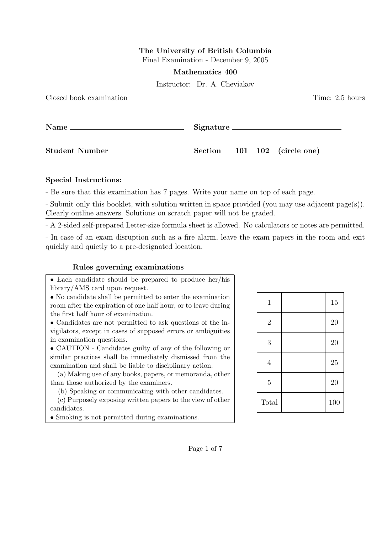## The University of British Columbia

Final Examination - December 9, 2005

Mathematics 400

Instructor: Dr. A. Cheviakov

| Closed book examination | Time: 2.5 hours              |
|-------------------------|------------------------------|
|                         | Signature                    |
| Student Number          | Section 101 102 (circle one) |

## Special Instructions:

- Be sure that this examination has 7 pages. Write your name on top of each page.

- Submit only this booklet, with solution written in space provided (you may use adjacent page(s)). Clearly outline answers. Solutions on scratch paper will not be graded.

- A 2-sided self-prepared Letter-size formula sheet is allowed. No calculators or notes are permitted.

- In case of an exam disruption such as a fire alarm, leave the exam papers in the room and exit quickly and quietly to a pre-designated location.

## Rules governing examinations

• Each candidate should be prepared to produce her/his library/AMS card upon request.

• No candidate shall be permitted to enter the examination room after the expiration of one half hour, or to leave during the first half hour of examination.

• Candidates are not permitted to ask questions of the invigilators, except in cases of supposed errors or ambiguities in examination questions.

• CAUTION - Candidates guilty of any of the following or similar practices shall be immediately dismissed from the examination and shall be liable to disciplinary action.

(a) Making use of any books, papers, or memoranda, other than those authorized by the examiners.

(b) Speaking or communicating with other candidates.

(c) Purposely exposing written papers to the view of other candidates.

• Smoking is not permitted during examinations.

| 1              | 15  |
|----------------|-----|
| $\overline{2}$ | 20  |
| 3              | 20  |
| $\overline{4}$ | 25  |
| $\overline{5}$ | 20  |
| Total          | 100 |

Page 1 of 7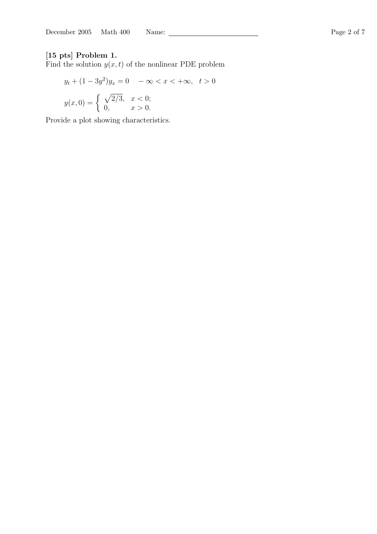## [15 pts] Problem 1.

Find the solution  $y(x, t)$  of the nonlinear PDE problem

$$
y_t + (1 - 3y^2)y_x = 0 \quad -\infty < x < +\infty, \quad t > 0
$$
\n
$$
y(x, 0) = \begin{cases} \sqrt{2/3}, & x < 0; \\ 0, & x > 0. \end{cases}
$$

Provide a plot showing characteristics.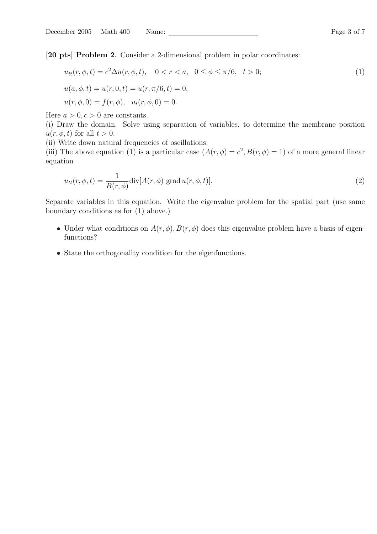[20 pts] Problem 2. Consider a 2-dimensional problem in polar coordinates:

$$
u_{tt}(r, \phi, t) = c^2 \Delta u(r, \phi, t), \quad 0 < r < a, \quad 0 \le \phi \le \pi/6, \quad t > 0; \\
u(a, \phi, t) = u(r, 0, t) = u(r, \pi/6, t) = 0, \\
u(r, \phi, 0) = f(r, \phi), \quad u_t(r, \phi, 0) = 0.
$$
\n
$$
(1)
$$

Here  $a > 0, c > 0$  are constants.

(i) Draw the domain. Solve using separation of variables, to determine the membrane position  $u(r, \phi, t)$  for all  $t > 0$ .

(ii) Write down natural frequencies of oscillations.

(iii) The above equation (1) is a particular case  $(A(r, \phi) = c^2, B(r, \phi) = 1)$  of a more general linear equation

$$
u_{tt}(r,\phi,t) = \frac{1}{B(r,\phi)} \text{div}[A(r,\phi) \text{ grad } u(r,\phi,t)].
$$
\n(2)

Separate variables in this equation. Write the eigenvalue problem for the spatial part (use same boundary conditions as for (1) above.)

- Under what conditions on  $A(r, \phi), B(r, \phi)$  does this eigenvalue problem have a basis of eigenfunctions?
- State the orthogonality condition for the eigenfunctions.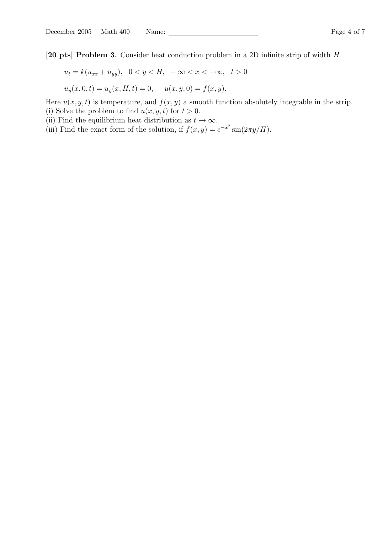[20 pts] Problem 3. Consider heat conduction problem in a 2D infinite strip of width H.

$$
u_t = k(u_{xx} + u_{yy}), \ \ 0 < y < H, \ -\infty < x < +\infty, \ \ t > 0
$$

$$
u_y(x, 0, t) = u_y(x, H, t) = 0, \quad u(x, y, 0) = f(x, y).
$$

Here  $u(x, y, t)$  is temperature, and  $f(x, y)$  a smooth function absolutely integrable in the strip. (i) Solve the problem to find  $u(x, y, t)$  for  $t > 0$ .

- (ii) Find the equilibrium heat distribution as  $t \to \infty$ .
- (iii) Find the exact form of the solution, if  $f(x, y) = e^{-x^2} \sin(2\pi y/H)$ .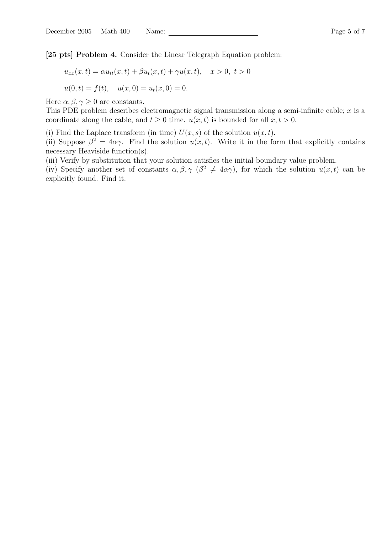[25 pts] Problem 4. Consider the Linear Telegraph Equation problem:

$$
u_{xx}(x,t) = \alpha u_{tt}(x,t) + \beta u_t(x,t) + \gamma u(x,t), \quad x > 0, \ t > 0
$$
  

$$
u(0,t) = f(t), \quad u(x,0) = u_t(x,0) = 0.
$$

Here  $\alpha, \beta, \gamma \geq 0$  are constants.

This PDE problem describes electromagnetic signal transmission along a semi-infinite cable;  $x$  is a coordinate along the cable, and  $t \geq 0$  time.  $u(x, t)$  is bounded for all  $x, t > 0$ .

(i) Find the Laplace transform (in time)  $U(x, s)$  of the solution  $u(x, t)$ .

(ii) Suppose  $\beta^2 = 4\alpha\gamma$ . Find the solution  $u(x, t)$ . Write it in the form that explicitly contains necessary Heaviside function(s).

(iii) Verify by substitution that your solution satisfies the initial-boundary value problem.

(iv) Specify another set of constants  $\alpha, \beta, \gamma$  ( $\beta^2 \neq 4\alpha\gamma$ ), for which the solution  $u(x, t)$  can be explicitly found. Find it.